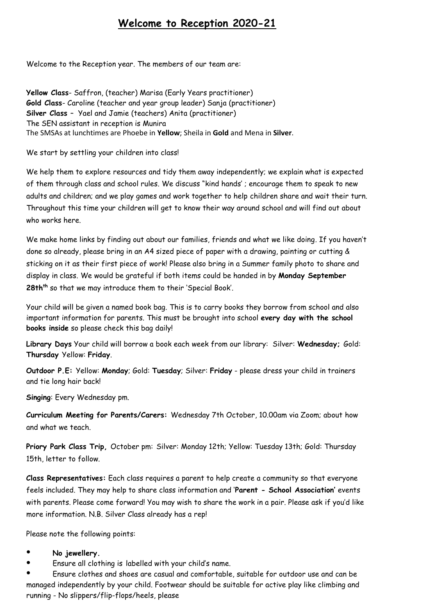## **Welcome to Reception 2020-21**

Welcome to the Reception year. The members of our team are:

**Yellow Class**- Saffron, (teacher) Marisa (Early Years practitioner) **Gold Class**- Caroline (teacher and year group leader) Sanja (practitioner) **Silver Class** – Yael and Jamie (teachers) Anita (practitioner) The SEN assistant in reception is Munira The SMSAs at lunchtimes are Phoebe in **Yellow**; Sheila in **Gold** and Mena in **Silver**.

We start by settling your children into class!

We help them to explore resources and tidy them away independently; we explain what is expected of them through class and school rules. We discuss "kind hands' ; encourage them to speak to new adults and children; and we play games and work together to help children share and wait their turn. Throughout this time your children will get to know their way around school and will find out about who works here.

We make home links by finding out about our families, friends and what we like doing*.* If you haven't done so already, please bring in an A4 sized piece of paper with a drawing, painting or cutting & sticking on it as their first piece of work! Please also bring in a Summer family photo to share and display in class. We would be grateful if both items could be handed in by **Monday September 28thth** so that we may introduce them to their 'Special Book'.

Your child will be given a named book bag. This is to carry books they borrow from school and also important information for parents. This must be brought into school **every day with the school books inside** so please check this bag daily!

**Library Days** Your child will borrow a book each week from our library: Silver: **Wednesday;** Gold: **Thursday** Yellow: **Friday**.

**Outdoor P.E:** Yellow: **Monday**; Gold: **Tuesday**; Silver: **Friday** - please dress your child in trainers and tie long hair back!

**Singing**: Every Wednesday pm.

**Curriculum Meeting for Parents/Carers:** Wednesday 7th October, 10.00am via Zoom; about how and what we teach.

**Priory Park Class Trip,** October pm: Silver: Monday 12th; Yellow: Tuesday 13th; Gold: Thursday 15th, letter to follow.

**Class Representatives:** Each class requires a parent to help create a community so that everyone feels included. They may help to share class information and '**Parent - School Association'** events with parents. Please come forward! You may wish to share the work in a pair. Please ask if you'd like more information. N.B. Silver Class already has a rep!

Please note the following points:

- No jewellery.
- Ensure all clothing is labelled with your child's name.

Ensure clothes and shoes are casual and comfortable, suitable for outdoor use and can be managed independently by your child. Footwear should be suitable for active play like climbing and running - No slippers/flip-flops/heels, please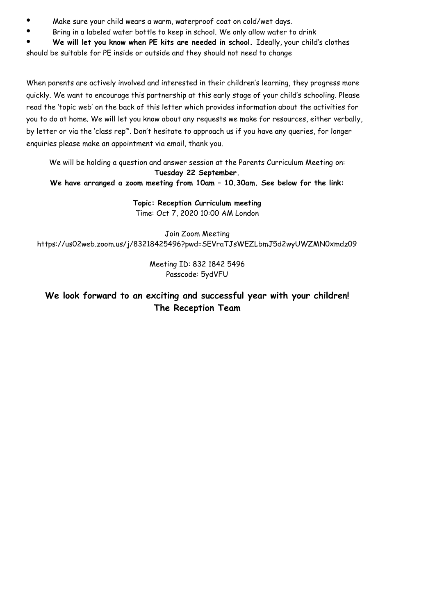- Make sure your child wears a warm, waterproof coat on cold/wet days.
- Bring in a labeled water bottle to keep in school. We only allow water to drink

We will let you know when PE kits are needed in school. Ideally, your child's clothes

should be suitable for PE inside or outside and they should not need to change

When parents are actively involved and interested in their children's learning, they progress more quickly. We want to encourage this partnership at this early stage of your child's schooling. Please read the 'topic web' on the back of this letter which provides information about the activities for you to do at home. We will let you know about any requests we make for resources, either verbally, by letter or via the 'class rep'''. Don't hesitate to approach us if you have any queries, for longer enquiries please make an appointment via email, thank you.

We will be holding a question and answer session at the Parents Curriculum Meeting on: **Tuesday 22 September.** 

**We have arranged a zoom meeting from 10am – 10.30am. See below for the link:**

**Topic: Reception Curriculum meeting** Time: Oct 7, 2020 10:00 AM London

Join Zoom Meeting https://us02web.zoom.us/j/83218425496?pwd=SEVraTJsWEZLbmJ5d2wyUWZMN0xmdz09

> Meeting ID: 832 1842 5496 Passcode: 5ydVFU

### **We look forward to an exciting and successful year with your children! The Reception Team**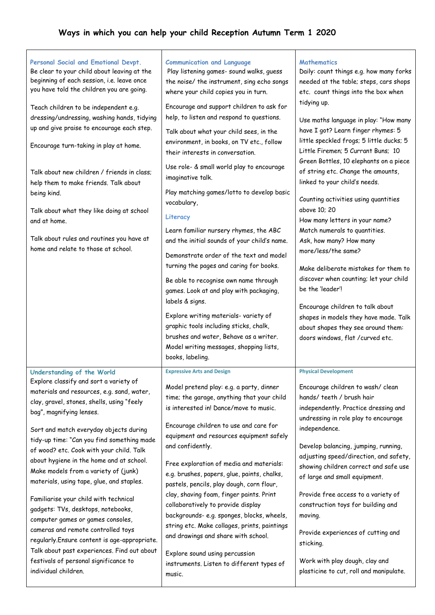# **Ways in which you can help your child Reception Autumn Term 1 2020**

| Personal Social and Emotional Devpt.<br>Be clear to your child about leaving at the<br>beginning of each session, i.e. leave once<br>you have told the children you are going.<br>Teach children to be independent e.g.<br>dressing/undressing, washing hands, tidying<br>up and give praise to encourage each step.<br>Encourage turn-taking in play at home.<br>Talk about new children / friends in class;<br>help them to make friends. Talk about<br>being kind.<br>Talk about what they like doing at school<br>and at home.<br>Talk about rules and routines you have at<br>home and relate to those at school.                                                                                                                                                                       | <b>Communication and Language</b><br>Play listening games- sound walks, guess<br>the noise/ the instrument, sing echo songs<br>where your child copies you in turn.<br>Encourage and support children to ask for<br>help, to listen and respond to questions.<br>Talk about what your child sees, in the<br>environment, in books, on TV etc., follow<br>their interests in conversation.<br>Use role- & small world play to encourage<br>imaginative talk.<br>Play matching games/lotto to develop basic<br>vocabulary,<br>Literacy<br>Learn familiar nursery rhymes, the ABC<br>and the initial sounds of your child's name.<br>Demonstrate order of the text and model<br>turning the pages and caring for books.<br>Be able to recognise own name through<br>games. Look at and play with packaging,<br>labels & signs.<br>Explore writing materials- variety of<br>graphic tools including sticks, chalk,<br>brushes and water, Behave as a writer.<br>Model writing messages, shopping lists,<br>books, labeling. | <b>Mathematics</b><br>Daily: count things e.g. how many forks<br>needed at the table; steps, cars shops<br>etc. count things into the box when<br>tidying up.<br>Use maths language in play: "How many<br>have I got? Learn finger rhymes: 5<br>little speckled frogs; 5 little ducks; 5<br>Little Firemen; 5 Currant Buns; 10<br>Green Bottles, 10 elephants on a piece<br>of string etc. Change the amounts,<br>linked to your child's needs.<br>Counting activities using quantities<br>above 10; 20<br>How many letters in your name?<br>Match numerals to quantities.<br>Ask, how many? How many<br>more/less/the same?<br>Make deliberate mistakes for them to<br>discover when counting; let your child<br>be the 'leader'!<br>Encourage children to talk about<br>shapes in models they have made. Talk<br>about shapes they see around them:<br>doors windows, flat / curved etc. |
|----------------------------------------------------------------------------------------------------------------------------------------------------------------------------------------------------------------------------------------------------------------------------------------------------------------------------------------------------------------------------------------------------------------------------------------------------------------------------------------------------------------------------------------------------------------------------------------------------------------------------------------------------------------------------------------------------------------------------------------------------------------------------------------------|-------------------------------------------------------------------------------------------------------------------------------------------------------------------------------------------------------------------------------------------------------------------------------------------------------------------------------------------------------------------------------------------------------------------------------------------------------------------------------------------------------------------------------------------------------------------------------------------------------------------------------------------------------------------------------------------------------------------------------------------------------------------------------------------------------------------------------------------------------------------------------------------------------------------------------------------------------------------------------------------------------------------------|--------------------------------------------------------------------------------------------------------------------------------------------------------------------------------------------------------------------------------------------------------------------------------------------------------------------------------------------------------------------------------------------------------------------------------------------------------------------------------------------------------------------------------------------------------------------------------------------------------------------------------------------------------------------------------------------------------------------------------------------------------------------------------------------------------------------------------------------------------------------------------------------|
| Understanding of the World<br>Explore classify and sort a variety of<br>materials and resources, e.g. sand, water,<br>clay, gravel, stones, shells, using "feely<br>bag", magnifying lenses.<br>Sort and match everyday objects during<br>tidy-up time: "Can you find something made<br>of wood? etc. Cook with your child. Talk<br>about hygiene in the home and at school.<br>Make models from a variety of (junk)<br>materials, using tape, glue, and staples.<br>Familiarise your child with technical<br>gadgets: TVs, desktops, notebooks,<br>computer games or games consoles,<br>cameras and remote controlled toys<br>regularly. Ensure content is age-appropriate.<br>Talk about past experiences. Find out about<br>festivals of personal significance to<br>individual children. | <b>Expressive Arts and Design</b><br>Model pretend play: e.g. a party, dinner<br>time; the garage, anything that your child<br>is interested in! Dance/move to music.<br>Encourage children to use and care for<br>equipment and resources equipment safely<br>and confidently.<br>Free exploration of media and materials:<br>e.g. brushes, papers, glue, paints, chalks,<br>pastels, pencils, play dough, corn flour,<br>clay, shaving foam, finger paints. Print<br>collaboratively to provide display<br>backgrounds-e.g. sponges, blocks, wheels,<br>string etc. Make collages, prints, paintings<br>and drawings and share with school.<br>Explore sound using percussion<br>instruments. Listen to different types of<br>music.                                                                                                                                                                                                                                                                                  | <b>Physical Development</b><br>Encourage children to wash/ clean<br>hands/ teeth / brush hair<br>independently. Practice dressing and<br>undressing in role play to encourage<br>independence.<br>Develop balancing, jumping, running,<br>adjusting speed/direction, and safety,<br>showing children correct and safe use<br>of large and small equipment.<br>Provide free access to a variety of<br>construction toys for building and<br>moving.<br>Provide experiences of cutting and<br>sticking.<br>Work with play dough, clay and<br>plasticine to cut, roll and manipulate.                                                                                                                                                                                                                                                                                                         |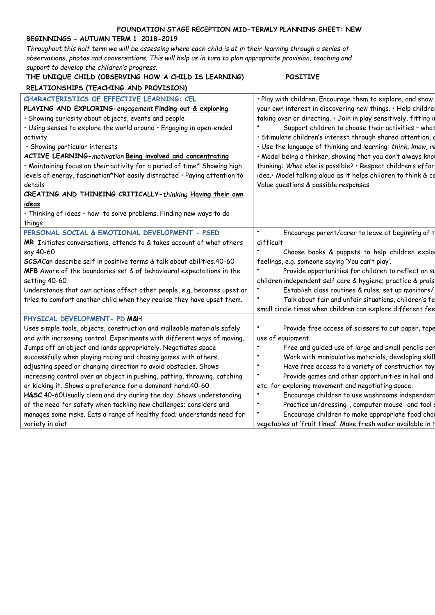#### **FOUNDATION STAGE RECEPTION MID-TERMLY PLANNING SHEET: NEW**

### **BEGINNINGS - AUTUMN TERM 1 2018-2019**

*Throughout this half term we will be assessing where each child is at in their learning through a series of observations, photos and conversations. This will help us in turn to plan appropriate provision, teaching and support to develop the children's progress.* 

| RELATIONSHIPS (TEACHING AND PROVISION)<br>CHARACTERISTICS OF EFFECTIVE LEARNING: CEL<br>PLAYING AND EXPLORING-engagement Finding out & exploring<br>· Showing curiosity about objects, events and people<br>$\cdot$ Using senses to explore the world around $\cdot$ Engaging in open-ended<br>activity<br>· Showing particular interests<br>ACTIVE LEARNING-motivation Being involved and concentrating<br>. Maintaining focus on their activity for a period of time* Showing high<br>levels of energy, fascination*Not easily distracted · Paying attention to<br>Value questions & possible responses<br>details<br>CREATING AND THINKING CRITICALLY-thinking Having their own<br>ideas<br>· Thinking of ideas · how to solve problems. Finding new ways to do<br>things<br>PERSONAL SOCIAL & EMOTIONAL DEVELOPMENT - PSED<br>difficult<br>MR Initiates conversations, attends to & takes account of what others<br>say 40-60<br>SCSACan describe self in positive terms & talk about abilities.40-60<br>feelings, e.g. someone saying 'You can't play'.<br>MFB Aware of the boundaries set & of behavioural expectations in the<br>setting 40-60<br>Understands that own actions affect other people, e.g. becomes upset or<br>tries to comfort another child when they realise they have upset them.<br>PHYSICAL DEVELOPMENT- PD M&H<br>Uses simple tools, objects, construction and malleable materials safely<br>and with increasing control. Experiments with different ways of moving.<br>use of equipment.<br>Jumps off an object and lands appropriately. Negotiates space<br>successfully when playing racing and chasing games with others,<br>adjusting speed or changing direction to avoid obstacles. Shows<br>increasing control over an object in pushing, patting, throwing, catching<br>or kicking it. Shows a preference for a dominant hand.40-60<br>etc. for exploring movement and negotiating space.<br>H&SC 40-60Usually clean and dry during the day. Shows understanding | support to develop the childrens progress.<br>THE UNIQUE CHILD (OBSERVING HOW A CHILD IS LEARNING) | <b>POSITIVE</b>                                                |
|-------------------------------------------------------------------------------------------------------------------------------------------------------------------------------------------------------------------------------------------------------------------------------------------------------------------------------------------------------------------------------------------------------------------------------------------------------------------------------------------------------------------------------------------------------------------------------------------------------------------------------------------------------------------------------------------------------------------------------------------------------------------------------------------------------------------------------------------------------------------------------------------------------------------------------------------------------------------------------------------------------------------------------------------------------------------------------------------------------------------------------------------------------------------------------------------------------------------------------------------------------------------------------------------------------------------------------------------------------------------------------------------------------------------------------------------------------------------------------------------------------------------------------------------------------------------------------------------------------------------------------------------------------------------------------------------------------------------------------------------------------------------------------------------------------------------------------------------------------------------------------------------------------------------------------------------------------------------------------------------------------|----------------------------------------------------------------------------------------------------|----------------------------------------------------------------|
| · Play with children. Encourage them to explore, and show<br>your own interest in discovering new things. • Help childre<br>taking over or directing. . Join in play sensitively, fitting in<br>Support children to choose their activities - what<br>· Stimulate children's interest through shared attention, d<br>· Use the language of thinking and learning: think, know, re<br>· Model being a thinker, showing that you don't always know<br>thinking: What else is possible? · Respect children's effor<br>idea. Model talking aloud as it helps children to think & co<br>Encourage parent/carer to leave at beginning of t<br>Choose books & puppets to help children explor<br>Provide opportunities for children to reflect on su<br>children independent self care & hygiene; practice & prais<br>Establish class routines & rules; set up monitors/<br>Talk about fair and unfair situations, children's fe<br>small circle times when children can explore different fee<br>Provide free access of scissors to cut paper, tape<br>Free and guided use of large and small pencils per<br>Work with manipulative materials, developing skill<br>Have free access to a variety of construction toy<br>Provide games and other opportunities in hall and<br>Encourage children to use washrooms independent                                                                                                                                                                                                                                                                                                                                                                                                                                                                                                                                                                                                                                                                                |                                                                                                    |                                                                |
|                                                                                                                                                                                                                                                                                                                                                                                                                                                                                                                                                                                                                                                                                                                                                                                                                                                                                                                                                                                                                                                                                                                                                                                                                                                                                                                                                                                                                                                                                                                                                                                                                                                                                                                                                                                                                                                                                                                                                                                                       |                                                                                                    |                                                                |
|                                                                                                                                                                                                                                                                                                                                                                                                                                                                                                                                                                                                                                                                                                                                                                                                                                                                                                                                                                                                                                                                                                                                                                                                                                                                                                                                                                                                                                                                                                                                                                                                                                                                                                                                                                                                                                                                                                                                                                                                       |                                                                                                    |                                                                |
| manages some risks. Eats a range of healthy food; understands need for<br>Encourage children to make appropriate food choi<br>vegetables at 'fruit times'. Make fresh water available in t<br>variety in diet                                                                                                                                                                                                                                                                                                                                                                                                                                                                                                                                                                                                                                                                                                                                                                                                                                                                                                                                                                                                                                                                                                                                                                                                                                                                                                                                                                                                                                                                                                                                                                                                                                                                                                                                                                                         | of the need for safety when tackling new challenges; considers and                                 | $\bullet$<br>Practice un/dressing-, computer mouse- and tool : |